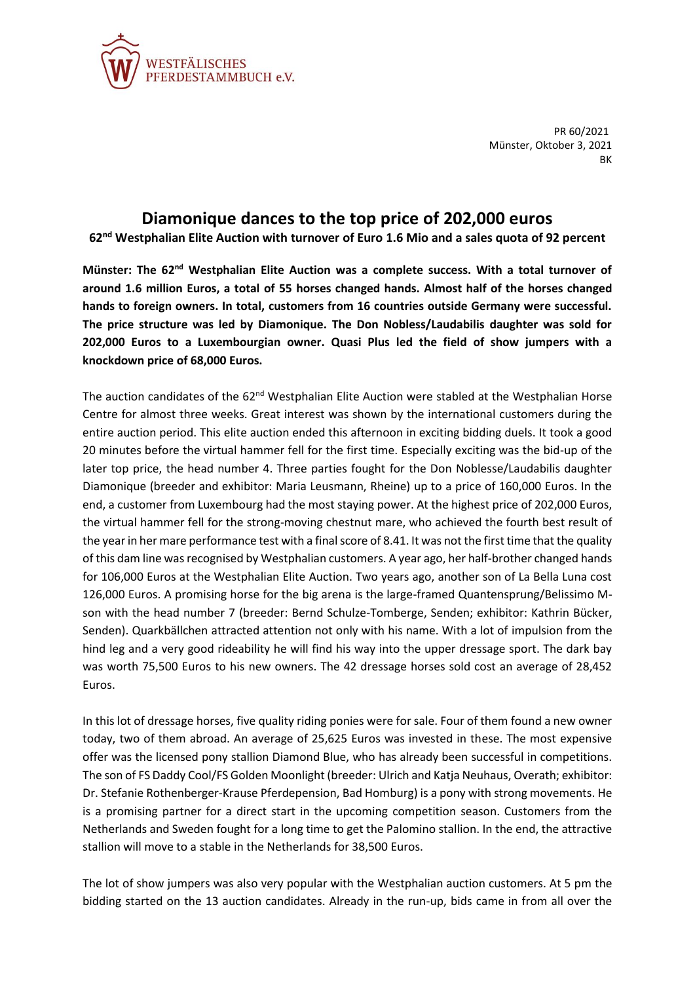

PR 60/2021 Münster, Oktober 3, 2021 **BK** 

## **Diamonique dances to the top price of 202,000 euros**

**62nd Westphalian Elite Auction with turnover of Euro 1.6 Mio and a sales quota of 92 percent**

**Münster: The 62nd Westphalian Elite Auction was a complete success. With a total turnover of around 1.6 million Euros, a total of 55 horses changed hands. Almost half of the horses changed hands to foreign owners. In total, customers from 16 countries outside Germany were successful. The price structure was led by Diamonique. The Don Nobless/Laudabilis daughter was sold for 202,000 Euros to a Luxembourgian owner. Quasi Plus led the field of show jumpers with a knockdown price of 68,000 Euros.**

The auction candidates of the  $62<sup>nd</sup>$  Westphalian Elite Auction were stabled at the Westphalian Horse Centre for almost three weeks. Great interest was shown by the international customers during the entire auction period. This elite auction ended this afternoon in exciting bidding duels. It took a good 20 minutes before the virtual hammer fell for the first time. Especially exciting was the bid-up of the later top price, the head number 4. Three parties fought for the Don Noblesse/Laudabilis daughter Diamonique (breeder and exhibitor: Maria Leusmann, Rheine) up to a price of 160,000 Euros. In the end, a customer from Luxembourg had the most staying power. At the highest price of 202,000 Euros, the virtual hammer fell for the strong-moving chestnut mare, who achieved the fourth best result of the year in her mare performance test with a final score of 8.41. It was not the first time that the quality of this dam line was recognised by Westphalian customers. A year ago, her half-brother changed hands for 106,000 Euros at the Westphalian Elite Auction. Two years ago, another son of La Bella Luna cost 126,000 Euros. A promising horse for the big arena is the large-framed Quantensprung/Belissimo Mson with the head number 7 (breeder: Bernd Schulze-Tomberge, Senden; exhibitor: Kathrin Bücker, Senden). Quarkbällchen attracted attention not only with his name. With a lot of impulsion from the hind leg and a very good rideability he will find his way into the upper dressage sport. The dark bay was worth 75,500 Euros to his new owners. The 42 dressage horses sold cost an average of 28,452 Euros.

In this lot of dressage horses, five quality riding ponies were for sale. Four of them found a new owner today, two of them abroad. An average of 25,625 Euros was invested in these. The most expensive offer was the licensed pony stallion Diamond Blue, who has already been successful in competitions. The son of FS Daddy Cool/FS Golden Moonlight (breeder: Ulrich and Katja Neuhaus, Overath; exhibitor: Dr. Stefanie Rothenberger-Krause Pferdepension, Bad Homburg) is a pony with strong movements. He is a promising partner for a direct start in the upcoming competition season. Customers from the Netherlands and Sweden fought for a long time to get the Palomino stallion. In the end, the attractive stallion will move to a stable in the Netherlands for 38,500 Euros.

The lot of show jumpers was also very popular with the Westphalian auction customers. At 5 pm the bidding started on the 13 auction candidates. Already in the run-up, bids came in from all over the